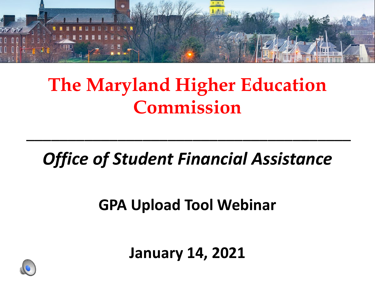

## **The Maryland Higher Education Commission**

#### *Office of Student Financial Assistance*

\_\_\_\_\_\_\_\_\_\_\_\_\_\_\_\_\_\_\_\_\_\_\_\_\_\_\_\_\_\_\_\_\_\_\_\_\_\_\_

#### **GPA Upload Tool Webinar**

**January 14, 2021**

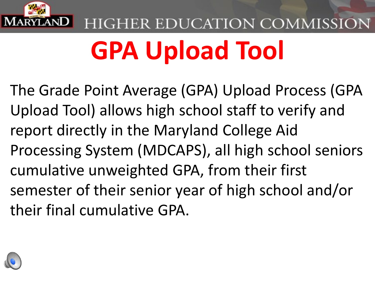

## HIGHER EDUCATION COMMISSION **GPA Upload Tool**

The Grade Point Average (GPA) Upload Process (GPA Upload Tool) allows high school staff to verify and report directly in the Maryland College Aid Processing System (MDCAPS), all high school seniors cumulative unweighted GPA, from their first semester of their senior year of high school and/or their final cumulative GPA.

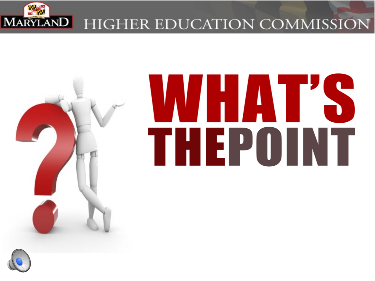



## **NHAT'** THEPOINT

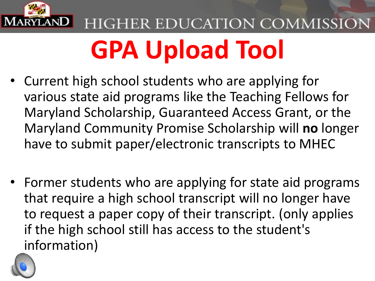

## HIGHER EDUCATION COMMISSION **GPA Upload Tool**

- Current high school students who are applying for various state aid programs like the Teaching Fellows for Maryland Scholarship, Guaranteed Access Grant, or the Maryland Community Promise Scholarship will **no** longer have to submit paper/electronic transcripts to MHEC
- Former students who are applying for state aid programs that require a high school transcript will no longer have to request a paper copy of their transcript. (only applies if the high school still has access to the student's information)

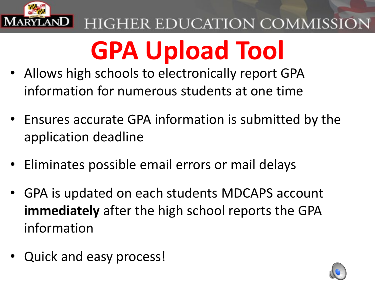

## **GPA Upload Tool**

- Allows high schools to electronically report GPA information for numerous students at one time
- Ensures accurate GPA information is submitted by the application deadline
- Eliminates possible email errors or mail delays
- GPA is updated on each students MDCAPS account **immediately** after the high school reports the GPA information
- Quick and easy process!

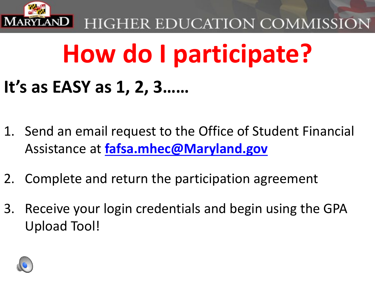

## **How do I participate?**

## **It's as EASY as 1, 2, 3……**

- 1. Send an email request to the Office of Student Financial Assistance at **[fafsa.mhec@Maryland.gov](mailto:fafsa.mhec@Maryland.gov)**
- 2. Complete and return the participation agreement
- 3. Receive your login credentials and begin using the GPA Upload Tool!

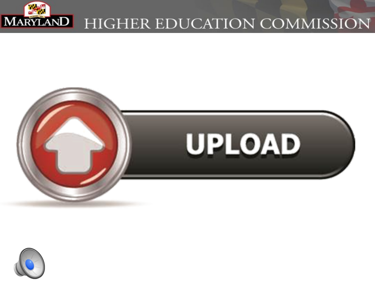



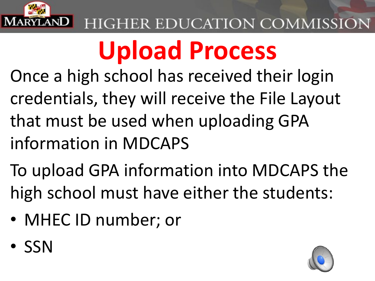

## **Upload Process**

- Once a high school has received their login credentials, they will receive the File Layout that must be used when uploading GPA information in MDCAPS
- To upload GPA information into MDCAPS the high school must have either the students:
- MHEC ID number; or
- SSN

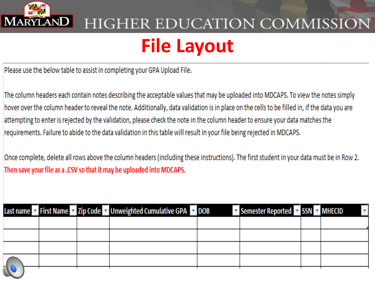

## HIGHER EDUCATION COMMISSION **File Layout**

Please use the below table to assist in completing your GPA Upload File.

The column headers each contain notes describing the acceptable values that may be uploaded into MDCAPS. To view the notes simply hover over the column header to reveal the note. Additionally, data validation is in place on the cells to be filled in, if the data you are attempting to enter is rejected by the validation, please check the note in the column header to ensure your data matches the requirements. Failure to abide to the data validation in this table will result in your file being rejected in MDCAPS.

Once complete, delete all rows above the column headers (including these instructions). The first student in your data must be in Row 2. Then save your file as a .CSV so that it may be uploaded into MDCAPS.

|               |  | Last name v First Name v Zip Code v Unweighted Cumulative GPA v DOB | Semester Reported v SSN v MHECID |  |
|---------------|--|---------------------------------------------------------------------|----------------------------------|--|
|               |  |                                                                     |                                  |  |
|               |  |                                                                     |                                  |  |
|               |  |                                                                     |                                  |  |
| $\frac{1}{7}$ |  |                                                                     |                                  |  |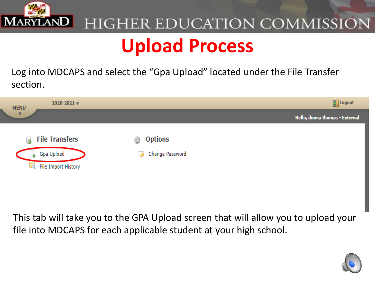

#### HIGHER EDUCATION COMMISSION **Upload Process**

Log into MDCAPS and select the "Gpa Upload" located under the File Transfer section.



This tab will take you to the GPA Upload screen that will allow you to upload your file into MDCAPS for each applicable student at your high school.

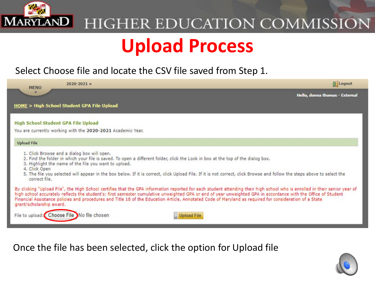

#### **HIGHER EDUCATION COMMISSION Upload Process**

#### Select Choose file and locate the CSV file saved from Step 1.

| $2020 - 2021 =$<br><b>MENU</b>                                                                                                                                                                                                                                                                                                                                                                                                                                                                                                       | Logout                         |
|--------------------------------------------------------------------------------------------------------------------------------------------------------------------------------------------------------------------------------------------------------------------------------------------------------------------------------------------------------------------------------------------------------------------------------------------------------------------------------------------------------------------------------------|--------------------------------|
| $\overline{\mathscr{D}}$                                                                                                                                                                                                                                                                                                                                                                                                                                                                                                             | Hello, donna thomas - External |
| <b>HOME &gt; High School Student GPA File Upload</b>                                                                                                                                                                                                                                                                                                                                                                                                                                                                                 |                                |
| <b>High School Student GPA File Upload</b>                                                                                                                                                                                                                                                                                                                                                                                                                                                                                           |                                |
| You are currently working with the 2020-2021 Academic Year.                                                                                                                                                                                                                                                                                                                                                                                                                                                                          |                                |
| <b>Upload File</b>                                                                                                                                                                                                                                                                                                                                                                                                                                                                                                                   |                                |
| 1. Click Browse and a dialog box will open.<br>2. Find the folder in which your file is saved. To open a different folder, click the Look in box at the top of the dialog box.<br>3. Highlight the name of the file you want to upload.<br>4. Click Open                                                                                                                                                                                                                                                                             |                                |
| 5. The file you selected will appear in the box below. If it is correct, click Upload File. If it is not correct, click Browse and follow the steps above to select the<br>correct file.                                                                                                                                                                                                                                                                                                                                             |                                |
| By clicking "Upload File", the High School certifies that the GPA information reported for each student attending their high school who is enrolled in their senior year of<br>high school accurately reflects the student's: first semester cumulative unweighted GPA or end of year unweighted GPA in accordance with the Office of Student<br>Financial Assistance policies and procedures and Title 18 of the Education Article, Annotated Code of Maryland as required for consideration of a State<br>grant/scholarship award. |                                |
| File to upload: Choose File No file chosen<br><b>Upload File</b>                                                                                                                                                                                                                                                                                                                                                                                                                                                                     |                                |

Once the file has been selected, click the option for Upload file

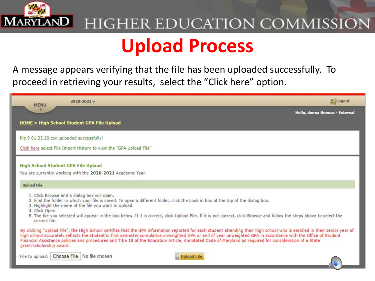

#### HIGHER EDUCATION COMMISSION **Upload Process**

A message appears verifying that the file has been uploaded successfully. To proceed in retrieving your results, select the "Click here" option.

| $2020 - 2021 =$<br><b>MENU</b>                                                                                                                                                                                                                                                                                                                                                                                                                                                                                                       | Logout                         |
|--------------------------------------------------------------------------------------------------------------------------------------------------------------------------------------------------------------------------------------------------------------------------------------------------------------------------------------------------------------------------------------------------------------------------------------------------------------------------------------------------------------------------------------|--------------------------------|
|                                                                                                                                                                                                                                                                                                                                                                                                                                                                                                                                      | Hello, donna thomas - External |
| <b>HOME &gt; High School Student GPA File Upload</b>                                                                                                                                                                                                                                                                                                                                                                                                                                                                                 |                                |
| file 9 01.23.20.csv uploaded successfully!                                                                                                                                                                                                                                                                                                                                                                                                                                                                                           |                                |
| Click here select File Import History to view the "GPA Upload File"                                                                                                                                                                                                                                                                                                                                                                                                                                                                  |                                |
| <b>High School Student GPA File Upload</b>                                                                                                                                                                                                                                                                                                                                                                                                                                                                                           |                                |
| You are currently working with the 2020-2021 Academic Year.                                                                                                                                                                                                                                                                                                                                                                                                                                                                          |                                |
| <b>Upload File</b>                                                                                                                                                                                                                                                                                                                                                                                                                                                                                                                   |                                |
| 1. Click Browse and a dialog box will open.<br>2. Find the folder in which your file is saved. To open a different folder, click the Look in box at the top of the dialog box.<br>3. Highlight the name of the file you want to upload.<br>4. Click Open                                                                                                                                                                                                                                                                             |                                |
| 5. The file you selected will appear in the box below. If it is correct, click Upload File. If it is not correct, click Browse and follow the steps above to select the<br>correct file.                                                                                                                                                                                                                                                                                                                                             |                                |
| By clicking "Upload File", the High School certifies that the GPA information reported for each student attending their high school who is enrolled in their senior year of<br>high school accurately reflects the student's: first semester cumulative unweighted GPA or end of year unweighted GPA in accordance with the Office of Student<br>Financial Assistance policies and procedures and Title 18 of the Education Article, Annotated Code of Maryland as required for consideration of a State<br>grant/scholarship award. |                                |
| File to upload: Choose File   No file chosen<br><b>Upload File</b>                                                                                                                                                                                                                                                                                                                                                                                                                                                                   |                                |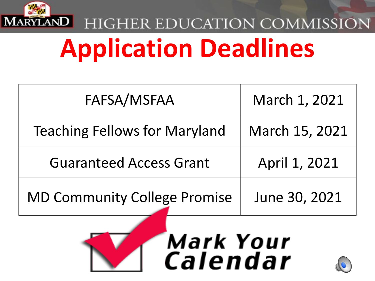

## HIGHER EDUCATION COMMISSION **Application Deadlines**

| FAFSA/MSFAA                          | March 1, 2021  |
|--------------------------------------|----------------|
| <b>Teaching Fellows for Maryland</b> | March 15, 2021 |
| <b>Guaranteed Access Grant</b>       | April 1, 2021  |
| <b>MD Community College Promise</b>  | June 30, 2021  |

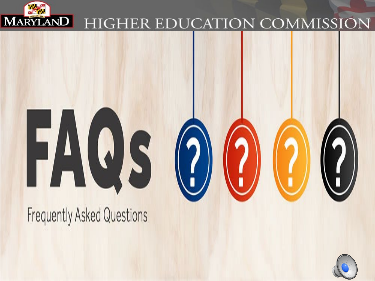

# HUS

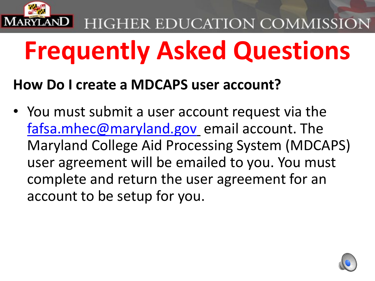

## **Frequently Asked Questions**

#### **How Do I create a MDCAPS user account?**

• You must submit a user account request via the [fafsa.mhec@maryland.gov](mailto:fafsa.mhec@maryland.gov) email account. The Maryland College Aid Processing System (MDCAPS) user agreement will be emailed to you. You must complete and return the user agreement for an account to be setup for you.

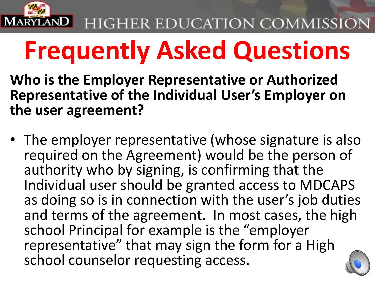

- **Who is the Employer Representative or Authorized Representative of the Individual User's Employer on the user agreement?**
- The employer representative (whose signature is also required on the Agreement) would be the person of authority who by signing, is confirming that the Individual user should be granted access to MDCAPS as doing so is in connection with the user's job duties and terms of the agreement. In most cases, the high school Principal for example is the "employer representative" that may sign the form for a High school counselor requesting access.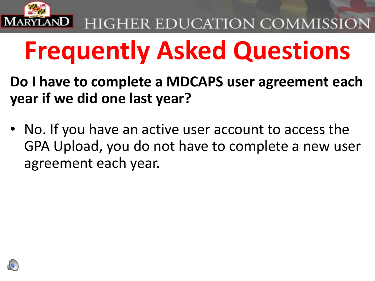

- **Do I have to complete a MDCAPS user agreement each year if we did one last year?**
- No. If you have an active user account to access the GPA Upload, you do not have to complete a new user agreement each year.

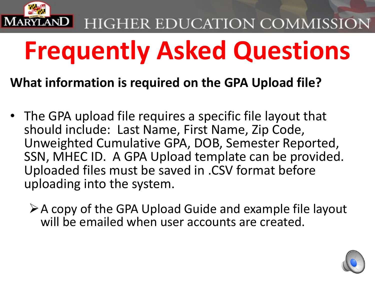

## **Frequently Asked Questions**

#### **What information is required on the GPA Upload file?**

- The GPA upload file requires a specific file layout that should include: Last Name, First Name, Zip Code, Unweighted Cumulative GPA, DOB, Semester Reported, SSN, MHEC ID. A GPA Upload template can be provided. Uploaded files must be saved in .CSV format before uploading into the system.
	- $\triangleright$  A copy of the GPA Upload Guide and example file layout will be emailed when user accounts are created.

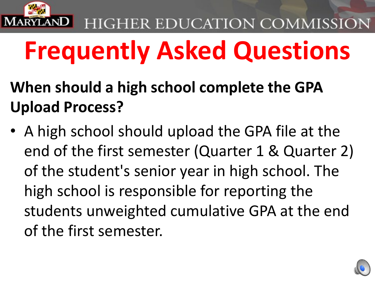

- **When should a high school complete the GPA Upload Process?**
- A high school should upload the GPA file at the end of the first semester (Quarter 1 & Quarter 2) of the student's senior year in high school. The high school is responsible for reporting the students unweighted cumulative GPA at the end of the first semester.

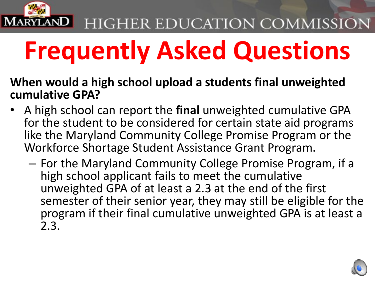

## **Frequently Asked Questions**

#### **When would a high school upload a students final unweighted cumulative GPA?**

- A high school can report the **final** unweighted cumulative GPA for the student to be considered for certain state aid programs like the Maryland Community College Promise Program or the Workforce Shortage Student Assistance Grant Program.
	- For the Maryland Community College Promise Program, if a high school applicant fails to meet the cumulative unweighted GPA of at least a 2.3 at the end of the first semester of their senior year, they may still be eligible for the program if their final cumulative unweighted GPA is at least a 2.3.

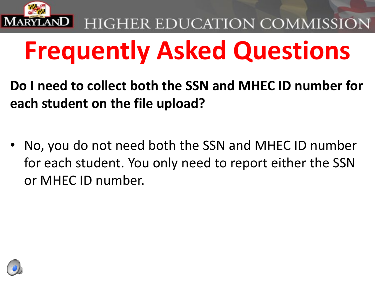

- **Do I need to collect both the SSN and MHEC ID number for each student on the file upload?**
- No, you do not need both the SSN and MHEC ID number for each student. You only need to report either the SSN or MHEC ID number.

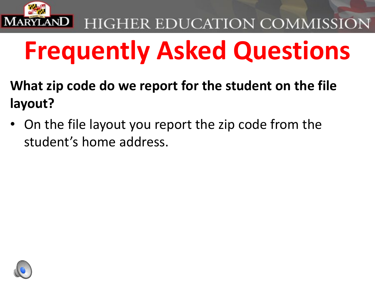

- **What zip code do we report for the student on the file layout?**
- On the file layout you report the zip code from the student's home address.

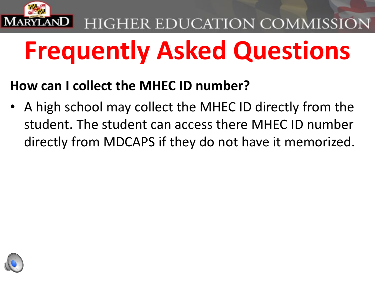

## **Frequently Asked Questions**

#### **How can I collect the MHEC ID number?**

• A high school may collect the MHEC ID directly from the student. The student can access there MHEC ID number directly from MDCAPS if they do not have it memorized.

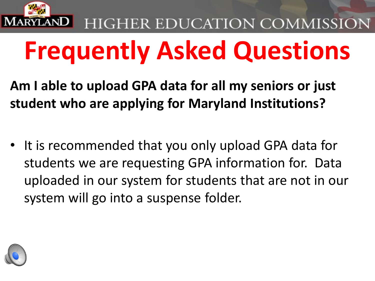

## **Frequently Asked Questions**

**Am I able to upload GPA data for all my seniors or just student who are applying for Maryland Institutions?**

It is recommended that you only upload GPA data for students we are requesting GPA information for. Data uploaded in our system for students that are not in our system will go into a suspense folder.

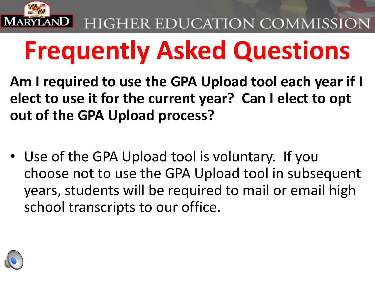

## **Frequently Asked Questions**

**Am I required to use the GPA Upload tool each year if I elect to use it for the current year? Can I elect to opt out of the GPA Upload process?** 

• Use of the GPA Upload tool is voluntary. If you choose not to use the GPA Upload tool in subsequent years, students will be required to mail or email high school transcripts to our office.

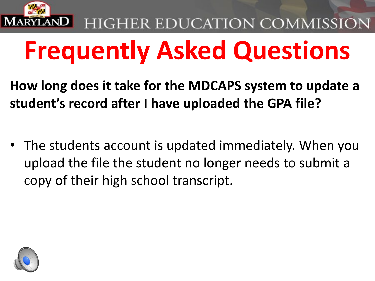

## **Frequently Asked Questions**

**How long does it take for the MDCAPS system to update a student's record after I have uploaded the GPA file?** 

• The students account is updated immediately. When you upload the file the student no longer needs to submit a copy of their high school transcript.

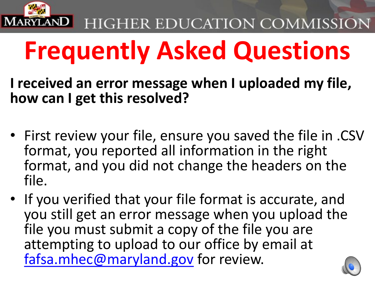

## **Frequently Asked Questions**

**I received an error message when I uploaded my file, how can I get this resolved?** 

- First review your file, ensure you saved the file in .CSV format, you reported all information in the right format, and you did not change the headers on the file.
- If you verified that your file format is accurate, and you still get an error message when you upload the file you must submit a copy of the file you are attempting to upload to our office by email at [fafsa.mhec@maryland.gov](mailto:fafsa.mhec@maryland.gov) for review.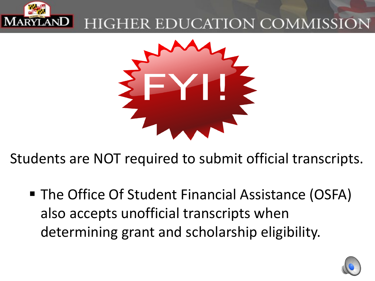



Students are NOT required to submit official transcripts.

■ The Office Of Student Financial Assistance (OSFA) also accepts unofficial transcripts when determining grant and scholarship eligibility.

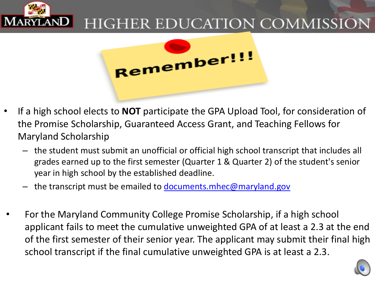



- If a high school elects to **NOT** participate the GPA Upload Tool, for consideration of the Promise Scholarship, Guaranteed Access Grant, and Teaching Fellows for Maryland Scholarship
	- the student must submit an unofficial or official high school transcript that includes all grades earned up to the first semester (Quarter 1 & Quarter 2) of the student's senior year in high school by the established deadline.
	- the transcript must be emailed to [documents.mhec@maryland.gov](mailto:documents.mhec@maryland.gov)
- For the Maryland Community College Promise Scholarship, if a high school applicant fails to meet the cumulative unweighted GPA of at least a 2.3 at the end of the first semester of their senior year. The applicant may submit their final high school transcript if the final cumulative unweighted GPA is at least a 2.3.